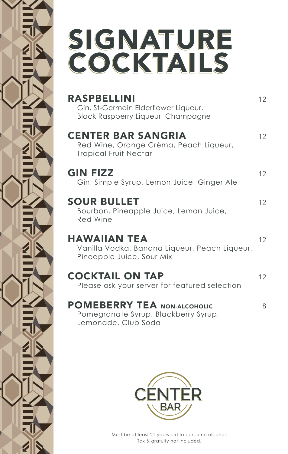# SIGNATURE COCKTAILS

#### Gin, St-Germain Elderflower Liqueur, Black Raspberry Liqueur, Champagne

## CENTER BAR SANGRIA 12

Red Wine, Orange Crèma, Peach Liqueur, Tropical Fruit Nectar

RASPBELLINI 12

#### $GIN$  FIZZ  $12$

Gin, Simple Syrup, Lemon Juice, Ginger Ale

# SOUR BULLET 12

Bourbon, Pineapple Juice, Lemon Juice, Red Wine

#### HAWAIIAN TEA 12



Vanilla Vodka, Banana Liqueur, Peach Liqueur, Pineapple Juice, Sour Mix

# COCKTAIL ON TAP 12

Please ask your server for featured selection

### POMEBERRY TEA NON-ALCOHOLIC 8

Pomegranate Syrup, Blackberry Syrup, Lemonade, Club Soda



Must be at least 21 years old to consume alcohol. Tax & gratuity not included.